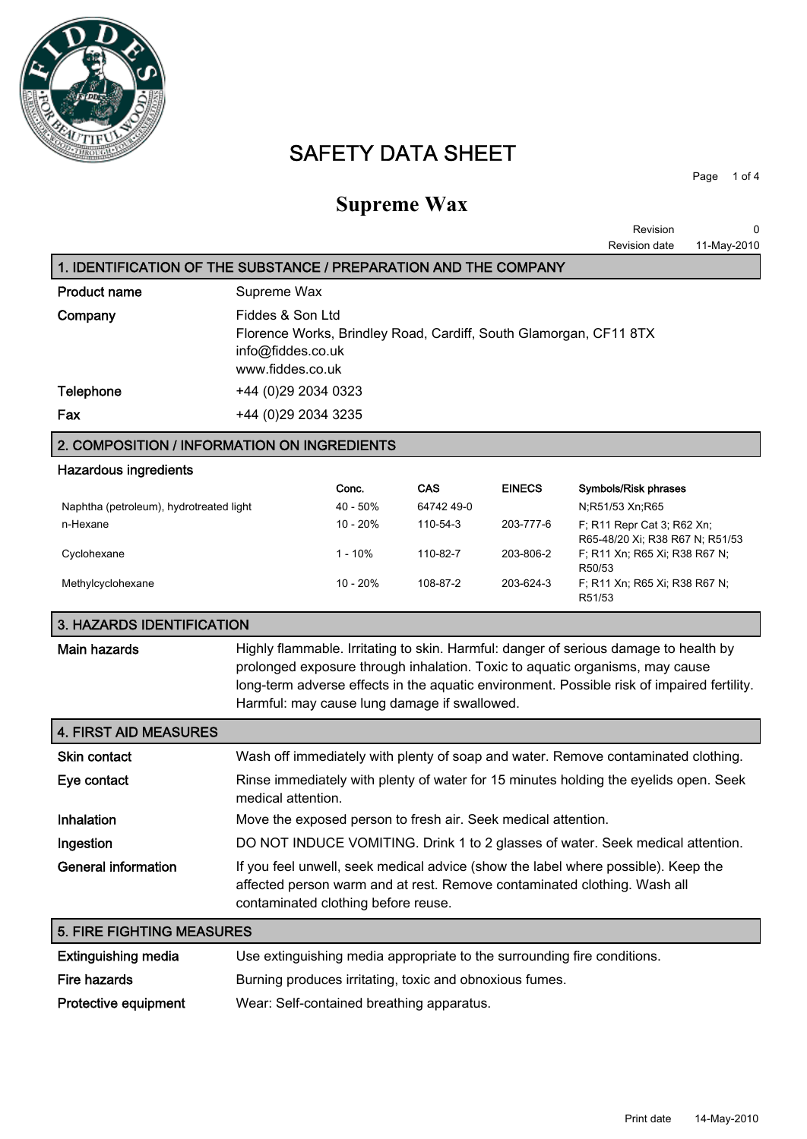

# **SAFETY DATA SHEET**

**Page 1 of 4**

## **Supreme Wax**

|                                                                  |             | Revision      |             |
|------------------------------------------------------------------|-------------|---------------|-------------|
|                                                                  |             | Revision date | 11-Mav-2010 |
| 1. IDENTIFICATION OF THE SUBSTANCE / PREPARATION AND THE COMPANY |             |               |             |
| Product name                                                     | Supreme Wax |               |             |

| <b>Product name</b> | Supreme Wax                                                                                                                    |
|---------------------|--------------------------------------------------------------------------------------------------------------------------------|
| Company             | Fiddes & Son Ltd<br>Florence Works, Brindley Road, Cardiff, South Glamorgan, CF11 8TX<br>info@fiddes.co.uk<br>www.fiddes.co.uk |
| Telephone           | +44 (0)29 2034 0323                                                                                                            |
| Fax                 | +44 (0)29 2034 3235                                                                                                            |

### **2. COMPOSITION / INFORMATION ON INGREDIENTS**

### **Hazardous ingredients**

|                                         | Conc.      | <b>CAS</b> | <b>EINECS</b> | Symbols/Risk phrases                                          |
|-----------------------------------------|------------|------------|---------------|---------------------------------------------------------------|
| Naphtha (petroleum), hydrotreated light | $40 - 50%$ | 64742 49-0 |               | N:R51/53 Xn:R65                                               |
| n-Hexane                                | $10 - 20%$ | 110-54-3   | 203-777-6     | F: R11 Repr Cat 3: R62 Xn;<br>R65-48/20 Xi; R38 R67 N; R51/53 |
| Cyclohexane                             | $1 - 10%$  | 110-82-7   | 203-806-2     | F, R11 Xn, R65 Xi, R38 R67 N,<br>R50/53                       |
| Methylcyclohexane                       | $10 - 20%$ | 108-87-2   | 203-624-3     | F; R11 Xn; R65 Xi; R38 R67 N;<br>R51/53                       |

### **3. HAZARDS IDENTIFICATION**

**Main hazards Highly flammable. Irritating to skin. Harmful: danger of serious damage to health by prolonged exposure through inhalation. Toxic to aquatic organisms, may cause long-term adverse effects in the aquatic environment. Possible risk of impaired fertility. Harmful: may cause lung damage if swallowed.**

| <b>4. FIRST AID MEASURES</b>     |                                                                                                                                                                                                      |
|----------------------------------|------------------------------------------------------------------------------------------------------------------------------------------------------------------------------------------------------|
| <b>Skin contact</b>              | Wash off immediately with plenty of soap and water. Remove contaminated clothing.                                                                                                                    |
| Eye contact                      | Rinse immediately with plenty of water for 15 minutes holding the eyelids open. Seek<br>medical attention.                                                                                           |
| <b>Inhalation</b>                | Move the exposed person to fresh air. Seek medical attention.                                                                                                                                        |
| Ingestion                        | DO NOT INDUCE VOMITING. Drink 1 to 2 glasses of water. Seek medical attention.                                                                                                                       |
| <b>General information</b>       | If you feel unwell, seek medical advice (show the label where possible). Keep the<br>affected person warm and at rest. Remove contaminated clothing. Wash all<br>contaminated clothing before reuse. |
| <b>5. FIRE FIGHTING MEASURES</b> |                                                                                                                                                                                                      |
| Evtinguiching modio              | Leo oxtinguiobing modio appropriate to the ourrounding fire conditions.                                                                                                                              |

| <b>Extinguishing media</b> | Use extinguishing media appropriate to the surrounding fire conditions. |
|----------------------------|-------------------------------------------------------------------------|
| Fire hazards               | Burning produces irritating, toxic and obnoxious fumes.                 |
| Protective equipment       | Wear: Self-contained breathing apparatus.                               |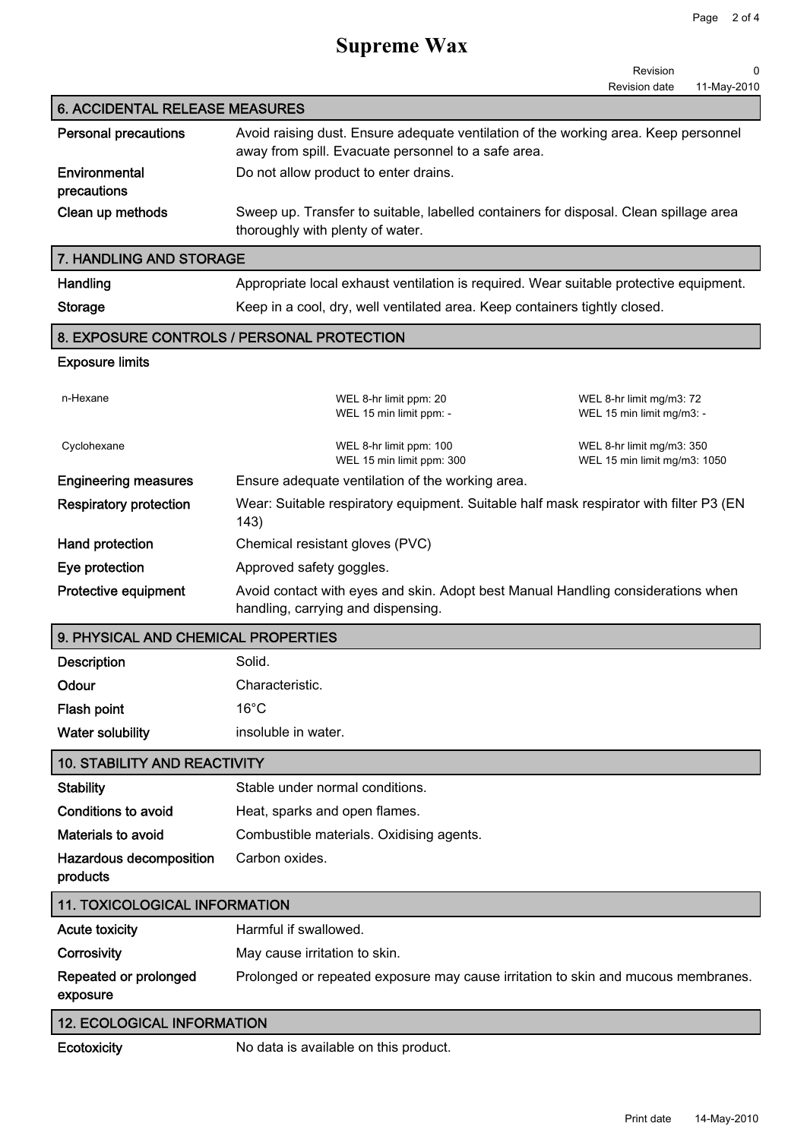# **Supreme Wax**

|                                       |                                                                                                                        | Revision                     | 0           |
|---------------------------------------|------------------------------------------------------------------------------------------------------------------------|------------------------------|-------------|
| <b>6. ACCIDENTAL RELEASE MEASURES</b> |                                                                                                                        | Revision date                | 11-May-2010 |
|                                       | Avoid raising dust. Ensure adequate ventilation of the working area. Keep personnel                                    |                              |             |
| <b>Personal precautions</b>           | away from spill. Evacuate personnel to a safe area.                                                                    |                              |             |
| Environmental                         | Do not allow product to enter drains.                                                                                  |                              |             |
| precautions                           |                                                                                                                        |                              |             |
| Clean up methods                      | Sweep up. Transfer to suitable, labelled containers for disposal. Clean spillage area                                  |                              |             |
|                                       | thoroughly with plenty of water.                                                                                       |                              |             |
| 7. HANDLING AND STORAGE               |                                                                                                                        |                              |             |
| Handling                              | Appropriate local exhaust ventilation is required. Wear suitable protective equipment.                                 |                              |             |
| <b>Storage</b>                        | Keep in a cool, dry, well ventilated area. Keep containers tightly closed.                                             |                              |             |
|                                       | 8. EXPOSURE CONTROLS / PERSONAL PROTECTION                                                                             |                              |             |
| <b>Exposure limits</b>                |                                                                                                                        |                              |             |
| n-Hexane                              | WEL 8-hr limit ppm: 20                                                                                                 | WEL 8-hr limit mg/m3: 72     |             |
|                                       | WEL 15 min limit ppm: -                                                                                                | WEL 15 min limit mg/m3: -    |             |
| Cyclohexane                           | WEL 8-hr limit ppm: 100                                                                                                | WEL 8-hr limit mg/m3: 350    |             |
|                                       | WEL 15 min limit ppm: 300                                                                                              | WEL 15 min limit mg/m3: 1050 |             |
| <b>Engineering measures</b>           | Ensure adequate ventilation of the working area.                                                                       |                              |             |
| <b>Respiratory protection</b>         | Wear: Suitable respiratory equipment. Suitable half mask respirator with filter P3 (EN<br>143)                         |                              |             |
| Hand protection                       | Chemical resistant gloves (PVC)                                                                                        |                              |             |
| Eye protection                        | Approved safety goggles.                                                                                               |                              |             |
| Protective equipment                  | Avoid contact with eyes and skin. Adopt best Manual Handling considerations when<br>handling, carrying and dispensing. |                              |             |
| 9. PHYSICAL AND CHEMICAL PROPERTIES   |                                                                                                                        |                              |             |
| <b>Description</b>                    | Solid.                                                                                                                 |                              |             |
| Odour                                 | Characteristic.                                                                                                        |                              |             |
| Flash point                           | $16^{\circ}$ C                                                                                                         |                              |             |
| <b>Water solubility</b>               | insoluble in water.                                                                                                    |                              |             |
| <b>10. STABILITY AND REACTIVITY</b>   |                                                                                                                        |                              |             |
| <b>Stability</b>                      | Stable under normal conditions.                                                                                        |                              |             |
| <b>Conditions to avoid</b>            | Heat, sparks and open flames.                                                                                          |                              |             |
| <b>Materials to avoid</b>             | Combustible materials. Oxidising agents.                                                                               |                              |             |
| Hazardous decomposition               | Carbon oxides.                                                                                                         |                              |             |
| products                              |                                                                                                                        |                              |             |
| <b>11. TOXICOLOGICAL INFORMATION</b>  |                                                                                                                        |                              |             |
| <b>Acute toxicity</b>                 | Harmful if swallowed.                                                                                                  |                              |             |
| Corrosivity                           | May cause irritation to skin.                                                                                          |                              |             |
| Repeated or prolonged<br>exposure     | Prolonged or repeated exposure may cause irritation to skin and mucous membranes.                                      |                              |             |
| <b>12. ECOLOGICAL INFORMATION</b>     |                                                                                                                        |                              |             |
| Ecotoxicity                           | No data is available on this product.                                                                                  |                              |             |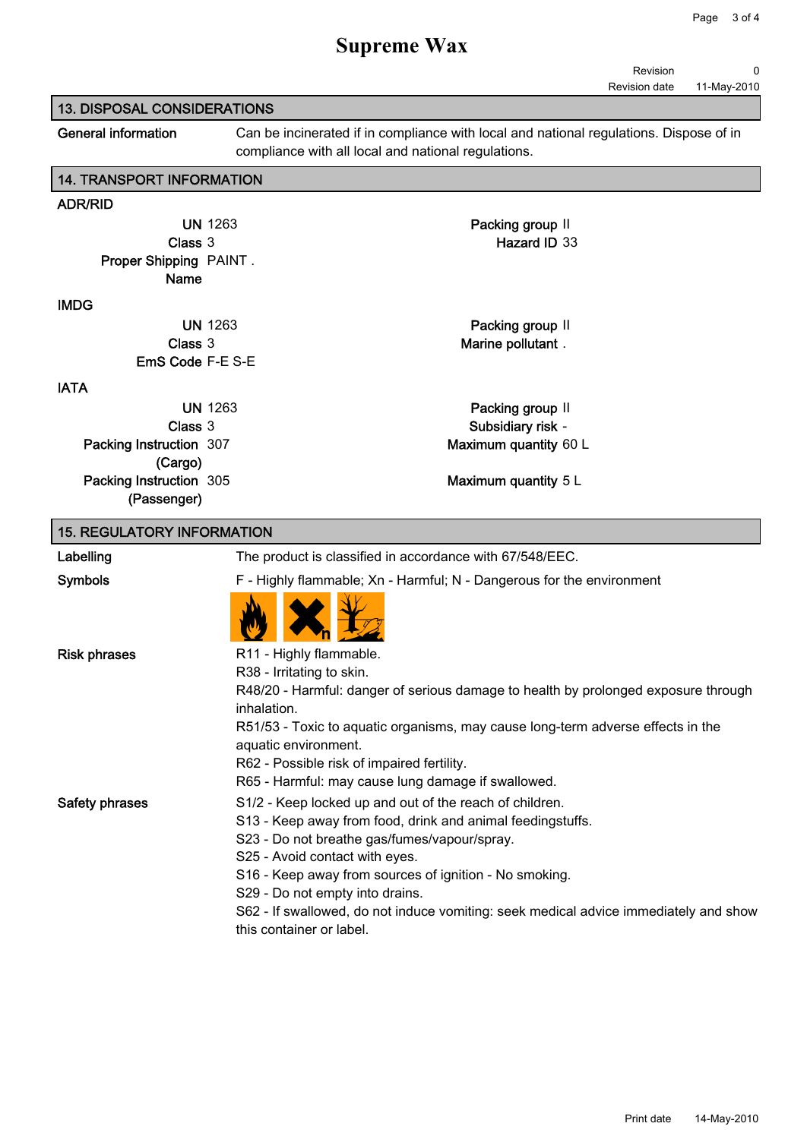## **Supreme Wax**

**Revision 0**

### **13. DISPOSAL CONSIDERATIONS**

**Revision date 11-May-2010**

| <b>YƏIDERATIUNƏ</b> |                                                                                                                                               |
|---------------------|-----------------------------------------------------------------------------------------------------------------------------------------------|
|                     | Can be incinerated if in compliance with local and national regulations. Dispose of in<br>compliance with all local and national regulations. |
| <b>NFORMATION</b>   |                                                                                                                                               |
|                     |                                                                                                                                               |

## **14. TRANSPORT II**

**General information** 

| ADR/RID |  |
|---------|--|
|         |  |

**UN 1263 Packing group II Class 3 Hazard ID 33 Proper Shipping PAINT . Name**

#### **IMDG**

**EmS Code F-E S-E**

#### **IATA**

**Packing Instruction (Cargo) Packing Instruction (Passenger)**

# **UN 1263 Packing group II Class 3 Marine pollutant . UN 1263 Packing group II Class 3 Subsidiary risk - 307 Maximum quantity 60 L**

#### **305 Maximum quantity 5 L**

## **15. REGULATORY INFORMATION Labelling The product is classified in accordance with 67/548/EEC. Symbols F - Highly flammable; Xn - Harmful; N - Dangerous for the environment Risk phrases R11 - Highly flammable. R38 - Irritating to skin. R48/20 - Harmful: danger of serious damage to health by prolonged exposure through inhalation. R51/53 - Toxic to aquatic organisms, may cause long-term adverse effects in the aquatic environment. R62 - Possible risk of impaired fertility. R65 - Harmful: may cause lung damage if swallowed. Safety phrases S1/2 - Keep locked up and out of the reach of children. S13 - Keep away from food, drink and animal feedingstuffs. S23 - Do not breathe gas/fumes/vapour/spray. S25 - Avoid contact with eyes. S16 - Keep away from sources of ignition - No smoking. S29 - Do not empty into drains. S62 - If swallowed, do not induce vomiting: seek medical advice immediately and show this container or label.**